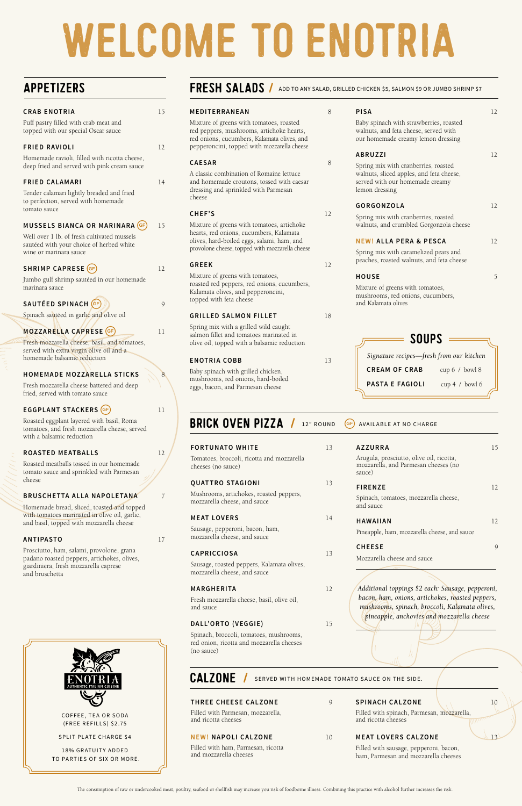| <b>FORTUNATO WHITE</b>                                           | 13 |
|------------------------------------------------------------------|----|
| Tomatoes, broccoli, ricotta and mozzarella<br>cheeses (no sauce) |    |
| <b>QUATTRO STAGIONI</b>                                          |    |

Mushrooms, artichokes, roasted peppers, mozzarella cheese, and sauce

# **MEAT LOVERS** 14

Sausage, pepperoni, bacon, ham, mozzarella cheese, and sauce

# **CAPRICCIOSA** 13

Sausage, roasted peppers, Kalamata olives, mozzarella cheese, and sauce

### **MARGHERITA** 12

BRICK OVEN PIZZA / 12" ROUND GF AVAILABLE AT NO CHARGE

Fresh mozzarella cheese, basil, olive oil, and sauce

# **DALL'ORTO (VEGGIE)** 15

Spinach, broccoli, tomatoes, mushrooms, red onion, ricotta and mozzarella cheeses (no sauce)

CALZONE / SERVED WITH HOMEMADE TOMATO SAUCE ON THE SIDE.

| <b>AZZURRA</b><br>Arugula, prosciutto, olive oil, ricotta,<br>mozzarella, and Parmesan cheeses (no<br>sauce) |  |
|--------------------------------------------------------------------------------------------------------------|--|
| <b>FIRENZE</b>                                                                                               |  |
| Spinach, tomatoes, mozzarella cheese,<br>and sauce.                                                          |  |
| <b>HAWAIIAN</b>                                                                                              |  |
| Pineapple, ham, mozzarella cheese, and sauce                                                                 |  |
| <b>CHEESE</b>                                                                                                |  |
| Mozzarella cheese and sauce                                                                                  |  |

*Additional toppings \$2 each: Sausage, pepperoni,* 

*bacon, ham, onions, artichokes, roasted peppers, mushrooms, spinach, broccoli, Kalamata olives, pineapple, anchovies and mozzarella cheese*

| <b>CRAB ENOTRIA</b>                                                                                                      | 15 |
|--------------------------------------------------------------------------------------------------------------------------|----|
| Puff pastry filled with crab meat and<br>topped with our special Oscar sauce                                             |    |
| <b>FRIED RAVIOLI</b>                                                                                                     | 12 |
| Homemade ravioli, filled with ricotta cheese,<br>deep fried and served with pink cream sauce                             |    |
| <b>FRIED CALAMARI</b>                                                                                                    | 14 |
| Tender calamari lightly breaded and fried<br>to perfection, served with homemade<br>tomato sauce                         |    |
| MUSSELS BIANCA OR MARINARA (GF)                                                                                          | 15 |
| Well over 1 lb. of fresh cultivated mussels<br>sautéed with your choice of herbed white<br>wine or marinara sauce        |    |
| SHRIMP CAPRESE (GF)                                                                                                      | 12 |
| Jumbo gulf shrimp sautéed in our homemade<br>marinara sauce                                                              |    |
| SAUTÉED SPINACH (GF)                                                                                                     | 9  |
| Spinach sautéed in garlic and olive oil                                                                                  |    |
| MOZZARELLA CAPRESE (GF)                                                                                                  | 11 |
| Fresh mozzarella cheese, basil, and tomatoes,<br>served with extra virgin olive oil and a<br>homemade balsamic reduction |    |
| <b>HOMEMADE MOZZARELLA STICKS</b>                                                                                        | 8  |
| Fresh mozzarella cheese battered and deep<br>fried, served with tomato sauce                                             |    |
| EGGPLANT STACKERS (GF)                                                                                                   | 11 |
| Roasted eggplant layered with basil, Roma<br>tomatoes, and fresh mozzarella cheese, served<br>with a balsamic reduction  |    |
| <b>ROASTED MEATBALLS</b>                                                                                                 | 12 |
| Roasted meatballs tossed in our homemade<br>tomato sauce and sprinkled with Parmesan<br>cheese                           |    |
| <b>BRUSCHETTA ALLA NAPOLETANA</b>                                                                                        |    |
| amada broad clipped togetod and                                                                                          |    |

Baby spinac mushrooms, red onions, hard-boiled eggs, bacon, and Parmesan cheese

# **THREE CHEESE CALZONE** 9 Filled with Parmesan, mozzarella,

Homemade bread, sliced, toasted and topped with tomatoes marinated in olive oil, garlic, and basil, topped with mozzarella cheese

# **ANTIPASTO** 17

Prosciutto, ham, salami, provolone, grana padano roasted peppers, artichokes, olives, giardiniera, fresh mozzarella caprese and bruschetta

# FRESH SALADS / ADD TO ANY SALAD, GRILLED CHICKEN \$5, SALMON \$9 OR JUMBO SHRIMP \$7

SPLIT PLATE CHARGE \$4

18% GRATUITY ADDED TO PARTIES OF SIX OR MORE.

| MEDITERRANEAN                                                                                                                                                                       | 8  | <b>PISA</b>                                                                                                            | 12 |
|-------------------------------------------------------------------------------------------------------------------------------------------------------------------------------------|----|------------------------------------------------------------------------------------------------------------------------|----|
| Mixture of greens with tomatoes, roasted<br>red peppers, mushrooms, artichoke hearts,<br>red onions, cucumbers, Kalamata olives, and<br>pepperoncini, topped with mozzarella cheese |    | Baby spinach with strawberries, roasted<br>walnuts, and feta cheese, served with<br>our homemade creamy lemon dressing |    |
|                                                                                                                                                                                     |    | <b>ABRUZZI</b>                                                                                                         | 12 |
| <b>CAESAR</b>                                                                                                                                                                       | 8  | Spring mix with cranberries, roasted                                                                                   |    |
| A classic combination of Romaine lettuce<br>and homemade croutons, tossed with caesar<br>dressing and sprinkled with Parmesan<br>cheese                                             |    | walnuts, sliced apples, and feta cheese,<br>served with our homemade creamy<br>lemon dressing                          |    |
|                                                                                                                                                                                     |    | <b>GORGONZOLA</b>                                                                                                      | 12 |
| CHEF'S                                                                                                                                                                              | 12 | Spring mix with cranberries, roasted                                                                                   |    |
| Mixture of greens with tomatoes, artichoke                                                                                                                                          |    | walnuts, and crumbled Gorgonzola cheese                                                                                |    |
| hearts, red onions, cucumbers, Kalamata<br>olives, hard-boiled eggs, salami, ham, and                                                                                               |    | <b>NEW! ALLA PERA &amp; PESCA</b>                                                                                      | 12 |
| provolone cheese, topped with mozzarella cheese                                                                                                                                     |    |                                                                                                                        |    |
|                                                                                                                                                                                     |    | Spring mix with caramelized pears and<br>peaches, roasted walnuts, and feta cheese                                     |    |
| <b>GREEK</b>                                                                                                                                                                        | 12 |                                                                                                                        |    |
| Mixture of greens with tomatoes,                                                                                                                                                    |    | <b>HOUSE</b>                                                                                                           | 5  |
| roasted red peppers, red onions, cucumbers,<br>Kalamata olives, and pepperoncini,<br>topped with feta cheese                                                                        |    | Mixture of greens with tomatoes,<br>mushrooms, red onions, cucumbers,<br>and Kalamata olives                           |    |
| <b>GRILLED SALMON FILLET</b>                                                                                                                                                        | 18 |                                                                                                                        |    |
| Spring mix with a grilled wild caught<br>salmon fillet and tomatoes marinated in<br>olive oil, topped with a balsamic reduction                                                     |    | <b>SOUPS</b>                                                                                                           |    |
| <b>ENOTRIA COBB</b>                                                                                                                                                                 | 13 | Signature recipes-fresh from our kitchen                                                                               |    |
|                                                                                                                                                                                     |    | <b>CREAM OF CRAB</b><br>cup 6 / bowl 8                                                                                 |    |
| Baby spinach with grilled chicken,                                                                                                                                                  |    |                                                                                                                        |    |

# APPETIZERS

**PASTA E FAGIOLI** cup 4 / bowl 6

and ricotta cheeses

Filled with ham, Parmesan, ricotta

and mozzarella cheeses

### **SPINACH CALZONE** 10

Filled with spinach, Parmesan, mozzarella, and ricotta cheeses

### **MEAT LOVERS CALZONE**

Filled with sausage, pepperoni, bacon, ham, Parmesan and mozzarella cheeses

# WELCOME TO ENOTRIA

The consumption of raw or undercooked meat, poultry, seafood or shellfish may increase you risk of foodborne illness. Combining this practice with alcohol further increases the risk.

**NEW! NAPOLI CALZONE** 10

COFFEE, TEA OR SODA (FREE REFILLS) \$2.75